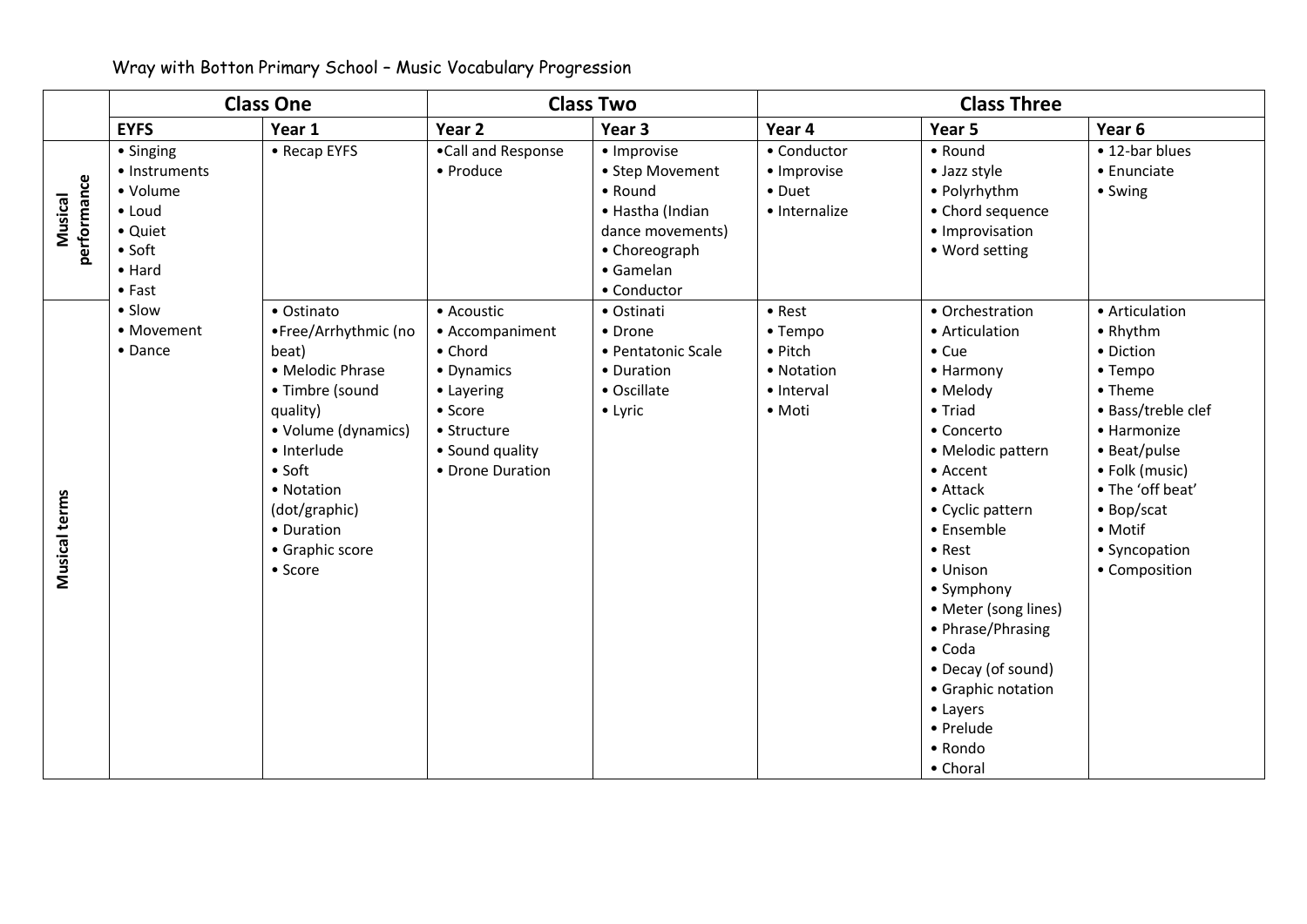## Wray with Botton Primary School – Music Vocabulary Progression

|                        | <b>Class One</b>                                                                                                  |                                                                                                                                                                                                                                   | <b>Class Two</b>                                                                                                                      |                                                                                                                                | <b>Class Three</b>                                                 |                                                                                                                                                                                                                                                                                                                                                                                    |                                                                                                                                                                                                                     |  |
|------------------------|-------------------------------------------------------------------------------------------------------------------|-----------------------------------------------------------------------------------------------------------------------------------------------------------------------------------------------------------------------------------|---------------------------------------------------------------------------------------------------------------------------------------|--------------------------------------------------------------------------------------------------------------------------------|--------------------------------------------------------------------|------------------------------------------------------------------------------------------------------------------------------------------------------------------------------------------------------------------------------------------------------------------------------------------------------------------------------------------------------------------------------------|---------------------------------------------------------------------------------------------------------------------------------------------------------------------------------------------------------------------|--|
|                        | <b>EYFS</b>                                                                                                       | Year 1                                                                                                                                                                                                                            | Year 2                                                                                                                                | Year 3                                                                                                                         | Year 4                                                             | Year 5                                                                                                                                                                                                                                                                                                                                                                             | Year 6                                                                                                                                                                                                              |  |
| performance<br>Musical | • Singing<br>• Instruments<br>• Volume<br>• Loud<br>• Quiet<br>$\bullet$ Soft<br>$\bullet$ Hard<br>$\bullet$ Fast | • Recap EYFS                                                                                                                                                                                                                      | •Call and Response<br>• Produce                                                                                                       | · Improvise<br>• Step Movement<br>• Round<br>• Hastha (Indian<br>dance movements)<br>• Choreograph<br>• Gamelan<br>• Conductor | • Conductor<br>· Improvise<br>• Duet<br>· Internalize              | • Round<br>• Jazz style<br>• Polyrhythm<br>• Chord sequence<br>· Improvisation<br>• Word setting                                                                                                                                                                                                                                                                                   | • 12-bar blues<br>• Enunciate<br>• Swing                                                                                                                                                                            |  |
| Musical terms          | • Slow<br>• Movement<br>• Dance                                                                                   | • Ostinato<br>•Free/Arrhythmic (no<br>beat)<br>• Melodic Phrase<br>• Timbre (sound<br>quality)<br>• Volume (dynamics)<br>· Interlude<br>$\bullet$ Soft<br>• Notation<br>(dot/graphic)<br>• Duration<br>• Graphic score<br>• Score | • Acoustic<br>• Accompaniment<br>• Chord<br>• Dynamics<br>• Layering<br>• Score<br>• Structure<br>• Sound quality<br>• Drone Duration | • Ostinati<br>• Drone<br>• Pentatonic Scale<br>• Duration<br>• Oscillate<br>• Lyric                                            | • Rest<br>• Tempo<br>• Pitch<br>• Notation<br>· Interval<br>• Moti | • Orchestration<br>• Articulation<br>$\bullet$ Cue<br>• Harmony<br>• Melody<br>• Triad<br>• Concerto<br>· Melodic pattern<br>• Accent<br>• Attack<br>• Cyclic pattern<br>• Ensemble<br>• Rest<br>• Unison<br>• Symphony<br>• Meter (song lines)<br>• Phrase/Phrasing<br>$\bullet$ Coda<br>• Decay (of sound)<br>• Graphic notation<br>• Layers<br>• Prelude<br>• Rondo<br>• Choral | • Articulation<br>• Rhythm<br>• Diction<br>• Tempo<br>• Theme<br>• Bass/treble clef<br>• Harmonize<br>• Beat/pulse<br>• Folk (music)<br>• The 'off beat'<br>• Bop/scat<br>• Motif<br>• Syncopation<br>• Composition |  |